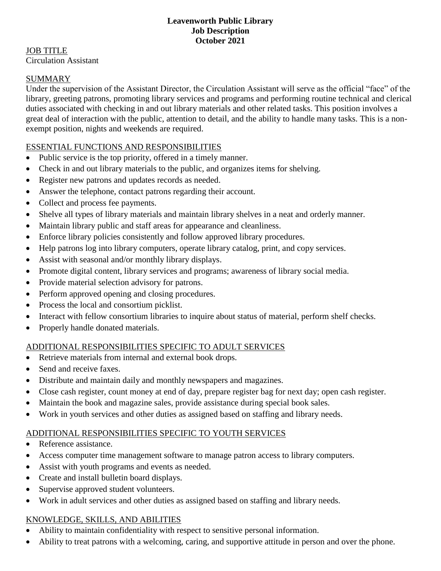#### **Leavenworth Public Library Job Description October 2021**

JOB TITLE Circulation Assistant

#### SUMMARY

Under the supervision of the Assistant Director, the Circulation Assistant will serve as the official "face" of the library, greeting patrons, promoting library services and programs and performing routine technical and clerical duties associated with checking in and out library materials and other related tasks. This position involves a great deal of interaction with the public, attention to detail, and the ability to handle many tasks. This is a nonexempt position, nights and weekends are required.

#### ESSENTIAL FUNCTIONS AND RESPONSIBILITIES

- Public service is the top priority, offered in a timely manner.
- Check in and out library materials to the public, and organizes items for shelving.
- Register new patrons and updates records as needed.
- Answer the telephone, contact patrons regarding their account.
- Collect and process fee payments.
- Shelve all types of library materials and maintain library shelves in a neat and orderly manner.
- Maintain library public and staff areas for appearance and cleanliness.
- Enforce library policies consistently and follow approved library procedures.
- Help patrons log into library computers, operate library catalog, print, and copy services.
- Assist with seasonal and/or monthly library displays.
- Promote digital content, library services and programs; awareness of library social media.
- Provide material selection advisory for patrons.
- Perform approved opening and closing procedures.
- Process the local and consortium picklist.
- Interact with fellow consortium libraries to inquire about status of material, perform shelf checks.
- Properly handle donated materials.

# ADDITIONAL RESPONSIBILITIES SPECIFIC TO ADULT SERVICES

- Retrieve materials from internal and external book drops.
- Send and receive faxes.
- Distribute and maintain daily and monthly newspapers and magazines.
- Close cash register, count money at end of day, prepare register bag for next day; open cash register.
- Maintain the book and magazine sales, provide assistance during special book sales.
- Work in youth services and other duties as assigned based on staffing and library needs.

# ADDITIONAL RESPONSIBILITIES SPECIFIC TO YOUTH SERVICES

- Reference assistance.
- Access computer time management software to manage patron access to library computers.
- Assist with youth programs and events as needed.
- Create and install bulletin board displays.
- Supervise approved student volunteers.
- Work in adult services and other duties as assigned based on staffing and library needs.

# KNOWLEDGE, SKILLS, AND ABILITIES

- Ability to maintain confidentiality with respect to sensitive personal information.
- Ability to treat patrons with a welcoming, caring, and supportive attitude in person and over the phone.